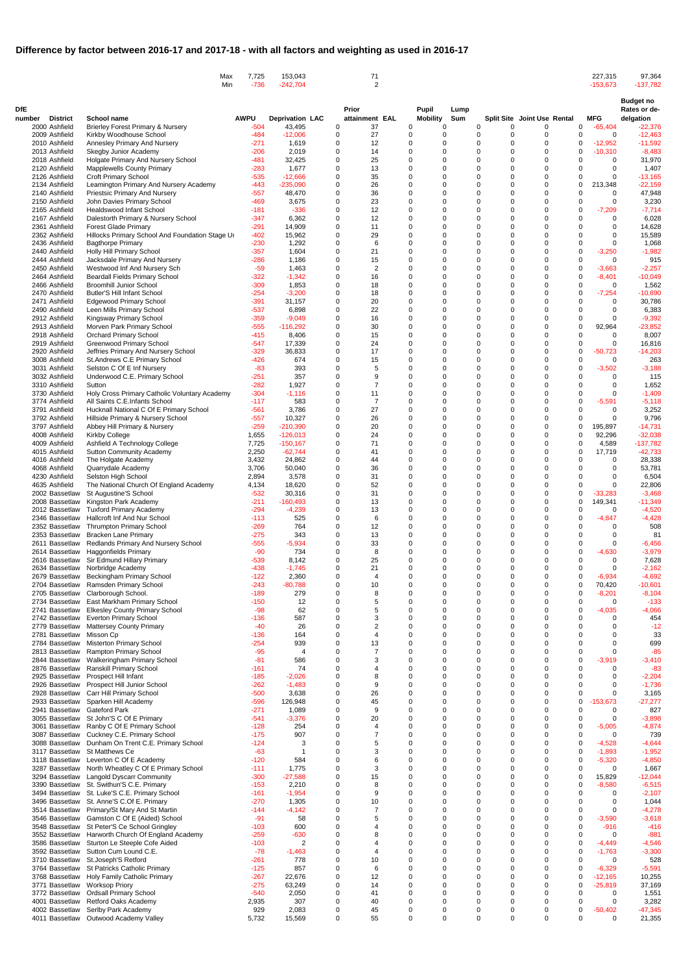|                                  | Max<br>Min                                                                                        | 7,725<br>$-736$  | 153,043<br>$-242,704$    |               | 71<br>2               |            |                                                    |             |                         |                             | 227,315<br>$-153,673$                               | 97,364<br>$-137,782$                          |
|----------------------------------|---------------------------------------------------------------------------------------------------|------------------|--------------------------|---------------|-----------------------|------------|----------------------------------------------------|-------------|-------------------------|-----------------------------|-----------------------------------------------------|-----------------------------------------------|
| DfE<br><b>District</b><br>number | <b>School name</b>                                                                                | <b>AWPU</b>      | <b>Deprivation LAC</b>   |               | Prior<br>attainment   | <b>EAL</b> | <b>Pupil</b><br><b>Mobility</b>                    | Lump<br>Sum |                         | Split Site Joint Use Rental | <b>MFG</b>                                          | <b>Budget no</b><br>Rates or de-<br>delgation |
| 2000 Ashfield                    | <b>Brierley Forest Primary &amp; Nursery</b>                                                      | $-504$           | 43,495                   | 0             | 37                    |            | 0<br>0                                             |             | 0<br>0                  | $\Omega$                    | 0<br>$-65,404$                                      | $-22,376$                                     |
| 2009 Ashfield                    | Kirkby Woodhouse School                                                                           | -484             | $-12,006$                | 0             | 27                    |            | 0<br>$\Omega$                                      |             | 0<br>0                  | $\Omega$                    | 0<br>0                                              | $-12,463$                                     |
| 2010 Ashfield<br>2013 Ashfield   | Annesley Primary And Nursery<br>Skegby Junior Academy                                             | -271<br>-206     | 1,619<br>2,019           | 0<br>$\Omega$ | 12<br>14              |            | $\mathbf 0$<br>$\Omega$<br>$\Omega$<br>0           |             | 0<br>0<br>0<br>0        | $\Omega$<br>$\Omega$        | $-12,952$<br>0<br>$\Omega$<br>$-10,310$             | $-11,592$<br>$-8,483$                         |
| 2018 Ashfield                    | Holgate Primary And Nursery School                                                                | -481             | 32,425                   | 0             | 25                    |            | $\Omega$<br>$\Omega$                               |             | 0<br>0                  | $\Omega$                    | 0<br>$\mathbf 0$                                    | 31,970                                        |
| 2120 Ashfield                    | <b>Mapplewells County Primary</b>                                                                 | $-283$           | 1,677                    | 0             | 13                    |            | $\mathbf 0$<br>$\Omega$                            |             | 0<br>0                  | $\Omega$                    | 0<br>0                                              | 1,407                                         |
| 2126 Ashfield<br>2134 Ashfield   | <b>Croft Primary School</b>                                                                       | $-535$<br>-443   | $-12,666$<br>-235,090    | 0<br>0        | 35<br>26              |            | $\Omega$<br>$\Omega$<br>$\mathbf 0$<br>$\Omega$    |             | 0<br>0<br>0<br>0        | $\Omega$<br>$\Omega$        | $\mathbf 0$<br>0<br>$\mathbf 0$<br>213,348          | $-13,165$<br>$-22,159$                        |
| 2140 Ashfield                    | Leamington Primary And Nursery Academy<br>Priestsic Primary And Nursery                           | $-557$           | 48,470                   | 0             | 36                    |            | 0<br>$\Omega$                                      |             | 0<br>0                  | $\Omega$                    | 0<br>0                                              | 47,948                                        |
| 2150 Ashfield                    | John Davies Primary School                                                                        | -469             | 3,675                    | 0             | 23                    |            | $\mathbf 0$<br>$\Omega$                            |             | 0<br>0                  | $\Omega$                    | 0<br>$\Omega$                                       | 3,230                                         |
| 2165 Ashfield                    | <b>Healdswood Infant School</b>                                                                   | -181             | $-336$                   | 0<br>0        | 12                    |            | $\Omega$<br>$\Omega$<br>$\mathbf 0$<br>$\Omega$    |             | 0<br>0<br>0<br>0        | $\Omega$<br>$\Omega$        | $\Omega$<br>$-7,209$<br>0                           | $-7,714$                                      |
| 2167 Ashfield<br>2361 Ashfield   | Dalestorth Primary & Nursery School<br><b>Forest Glade Primary</b>                                | -347<br>$-291$   | 6,362<br>14,909          | 0             | 12<br>11              |            | $\mathbf 0$<br>$\Omega$                            |             | $\mathbf 0$<br>0        | $\Omega$                    | $\Omega$<br>0<br>$\Omega$                           | 6,028<br>14,628                               |
| 2362 Ashfield                    | Hillocks Primary School And Foundation Stage Ur                                                   | $-402$           | 15,962                   | $\Omega$      | 29                    |            | $\Omega$<br>0                                      |             | 0<br>0                  | $\Omega$                    | $\Omega$<br>$\Omega$                                | 15,589                                        |
| 2436 Ashfield                    | <b>Bagthorpe Primary</b>                                                                          | $-230$           | 1,292                    | 0             | 6                     |            | $\Omega$<br>$\Omega$                               |             | 0<br>$\Omega$           | $\Omega$                    | $\Omega$<br>$\mathbf 0$                             | 1,068                                         |
| 2440 Ashfield<br>2444 Ashfield   | Holly Hill Primary School<br>Jacksdale Primary And Nursery                                        | $-357$<br>$-286$ | 1,604<br>1,186           | 0<br>0        | 21<br>15              |            | $\mathbf 0$<br>$\Omega$<br>$\Omega$<br>$\Omega$    |             | 0<br>0<br>0<br>0        | $\Omega$<br>$\Omega$        | 0<br>$-3,250$<br>0<br>$\mathbf 0$                   | $-1,982$<br>915                               |
| 2450 Ashfield                    | Westwood Inf And Nursery Sch                                                                      | $-59$            | 1,463                    | 0             | 2                     |            | $\mathbf 0$<br>$\Omega$                            |             | 0<br>0                  |                             | $\mathbf 0$<br>$-3,663$                             | $-2,257$                                      |
| 2464 Ashfield                    | <b>Beardall Fields Primary School</b>                                                             | $-322$           | $-1,342$                 | 0             | 16                    |            | $\mathbf 0$<br>$\Omega$                            |             | 0<br>0                  | $\Omega$                    | $\mathbf 0$<br>$-8,401$                             | $-10,049$                                     |
| 2466 Ashfield<br>2470 Ashfield   | <b>Broomhill Junior School</b><br><b>Butler'S Hill Infant School</b>                              | $-309$<br>-254   | 1,853<br>$-3,200$        | 0<br>0        | 18<br>18              |            | $\mathbf 0$<br>$\Omega$<br>0<br>$\Omega$           |             | 0<br>0<br>0<br>0        | $\Omega$<br>$\Omega$        | 0<br>0<br>$\Omega$<br>$-7,254$                      | 1,562<br>$-10,690$                            |
| 2471 Ashfield                    | <b>Edgewood Primary School</b>                                                                    | $-391$           | 31,157                   | 0             | 20                    |            | 0<br>$\Omega$                                      |             | 0<br>0                  | $\Omega$                    | $\Omega$<br>0                                       | 30,786                                        |
| 2490 Ashfield                    | Leen Mills Primary School                                                                         | $-537$           | 6,898                    | 0             | 22                    |            | $\mathbf 0$<br>$\Omega$                            |             | 0<br>0                  | $\Omega$                    | 0<br>$\Omega$                                       | 6,383                                         |
| 2912 Ashfield<br>2913 Ashfield   | Kingsway Primary School<br>Morven Park Primary School                                             | $-359$<br>$-555$ | $-9,049$<br>$-116,292$   | 0<br>0        | 16<br>30              |            | $\mathbf 0$<br>$\Omega$<br>$\mathbf 0$<br>$\Omega$ |             | 0<br>0<br>0<br>$\Omega$ | $\Omega$<br>$\Omega$        | $\Omega$<br>$\Omega$<br>$\mathbf 0$<br>92,964       | $-9,392$<br>$-23,852$                         |
| 2918 Ashfield                    | <b>Orchard Primary School</b>                                                                     | $-415$           | 8,406                    | 0             | 15                    |            | $\mathbf 0$<br>$\Omega$                            |             | 0<br>0                  | $\Omega$                    | 0<br>0                                              | 8,007                                         |
| 2919 Ashfield                    | <b>Greenwood Primary School</b>                                                                   | -547             | 17,339                   | 0             | 24                    |            | $\mathbf 0$<br>$\Omega$                            |             | 0<br>0                  | $\Omega$                    | $\mathbf 0$<br>$\mathbf 0$                          | 16,816                                        |
| 2920 Ashfield                    | Jeffries Primary And Nursery School                                                               | $-329$           | 36,833                   | 0             | 17                    |            | $\mathbf 0$<br>$\Omega$                            |             | 0<br>0                  | $\Omega$                    | $\mathbf 0$<br>-50,723                              | $-14,203$                                     |
| 3008 Ashfield<br>3031 Ashfield   | St.Andrews C.E Primary School<br>Selston C Of E Inf Nursery                                       | $-426$<br>$-83$  | 674<br>393               | 0<br>0        | 15<br>5               |            | 0<br>$\Omega$<br>$\Omega$<br>$\Omega$              |             | 0<br>0<br>0<br>0        | $\Omega$                    | 0<br>0<br>0<br>$-3,502$                             | 263<br>$-3,188$                               |
| 3032 Ashfield                    | Underwood C.E. Primary School                                                                     | $-251$           | 357                      | 0             | 9                     |            | 0<br>$\Omega$                                      |             | 0<br>0                  | $\Omega$                    | 0<br>$\Omega$                                       | 115                                           |
| 3310 Ashfield                    | Sutton                                                                                            | $-282$           | 1,927                    | 0             | $\overline{7}$        |            | $\mathbf 0$<br>$\Omega$                            |             | 0<br>0                  | $\Omega$                    | 0<br>$\Omega$                                       | 1,652                                         |
| 3730 Ashfield<br>3774 Ashfield   | Holy Cross Primary Catholic Voluntary Academy<br>All Saints C.E.Infants School                    | $-304$<br>$-117$ | $-1,116$<br>583          | 0<br>$\Omega$ | 11<br>$\overline{7}$  |            | $\mathbf 0$<br>$\Omega$<br>$\Omega$<br>0           |             | 0<br>0<br>0<br>0        | $\Omega$<br>$\Omega$        | 0<br>0<br>$\mathbf 0$<br>$-5,591$                   | $-1,409$<br>$-5,118$                          |
| 3791 Ashfield                    | Hucknall National C Of E Primary School                                                           | -561             | 3,786                    | 0             | 27                    |            | $\Omega$<br>$\Omega$                               |             | 0<br>0                  |                             | O<br>0                                              | 3,252                                         |
| 3792 Ashfield                    | Hillside Primary & Nursery School                                                                 | $-557$           | 10,327                   | 0             | 26                    |            | 0<br>0                                             |             | 0<br>0                  | $\Omega$                    | $\mathbf 0$<br>0                                    | 9,796                                         |
| 3797 Ashfield<br>4008 Ashfield   | Abbey Hill Primary & Nursery<br>Kirkby College                                                    | $-259$<br>1,655  | $-210,390$<br>$-126.013$ | 0<br>0        | 20<br>24              |            | $\mathbf 0$<br>$\Omega$<br>$\Omega$<br>$\Omega$    |             | 0<br>0<br>U<br>$\Omega$ | $\Omega$<br>$\Omega$        | 0<br>195,897<br>92,296<br>0                         | $-14,731$<br>$-32,038$                        |
| 4009 Ashfield                    | Ashfield A Technology College                                                                     | 7,725            | $-150,167$               | 0             | 71                    |            | 0<br>$\Omega$                                      |             | 0<br>0                  | $\Omega$                    | 4,589<br>0                                          | $-137,782$                                    |
| 4015 Ashfield                    | <b>Sutton Community Academy</b>                                                                   | 2,250            | $-62,744$                | 0             | 41                    |            | $\Omega$<br>$\Omega$                               |             | 0<br>0                  |                             | 0<br>17,719                                         | $-42,733$                                     |
| 4016 Ashfield                    | The Holgate Academy                                                                               | 3,432            | 24,862                   | 0             | 44                    |            | $\Omega$<br>$\Omega$                               |             | 0<br>0                  |                             | 0<br>0                                              | 28,338                                        |
| 4068 Ashfield<br>4230 Ashfield   | Quarrydale Academy<br>Selston High School                                                         | 3,706<br>2,894   | 50,040<br>3,578          | 0<br>0        | 36<br>31              |            | $\Omega$<br>$\Omega$<br>$\Omega$<br>$\Omega$       |             | 0<br>0<br>0<br>0        | $\Omega$                    | $\Omega$<br>ŋ<br>$\Omega$                           | 53,781<br>6,504                               |
| 4635 Ashfield                    | The National Church Of England Academy                                                            | 4,134            | 18,620                   | $\Omega$      | 52                    |            | 0<br>$\Omega$                                      |             | 0<br>0                  | $\Omega$                    | 0<br>$\Omega$                                       | 22,806                                        |
|                                  | 2002 Bassetlaw St Augustine'S School                                                              | $-532$           | 30,316                   | 0             | 31                    |            | $\Omega$<br>$\Omega$                               |             | $\Omega$<br>0           | $\Omega$                    | 0<br>$-33,283$                                      | $-3,468$                                      |
|                                  | 2008 Bassetlaw Kingston Park Academy                                                              | $-211$<br>-294   | $-160,493$<br>$-4,239$   | 0             | 13<br>13              |            | $\Omega$<br>0<br>0<br>$\Omega$                     |             | 0<br>0<br>0<br>0        |                             | 0<br>149,341<br>0<br>$\mathbf 0$                    | $-11,349$<br>$-4,520$                         |
|                                  | 2012 Bassetlaw Tuxford Primary Academy<br>2346 Bassetlaw Hallcroft Inf And Nur School             | $-113$           | 525                      |               | 6                     |            | $\Omega$                                           |             | 0<br>0                  |                             | 0<br>$-4,847$                                       | $-4,428$                                      |
|                                  | 2352 Bassetlaw Thrumpton Primary School                                                           | $-269$           | 764                      | 0             | 12                    |            | 0<br>$\Omega$                                      |             | 0<br>0                  | $\Omega$                    | 0<br>0                                              | 508                                           |
|                                  | 2353 Bassetlaw Bracken Lane Primary                                                               | $-275$           | 343                      | 0<br>0        | 13                    |            | 0<br>$\Omega$<br>$\Omega$<br>$\Omega$              |             | 0<br>0<br>0<br>0        | $\Omega$                    | $\Omega$<br>0<br>$\Omega$                           | 81                                            |
|                                  | 2611 Bassetlaw Redlands Primary And Nursery School<br>2614 Bassetlaw Haggonfields Primary         | $-555$<br>$-90$  | $-5,934$<br>734          | 0             | 33<br>8               |            | $\Omega$<br>0                                      |             | 0<br>0                  | $\Omega$                    | 0<br>$-4,630$                                       | $-6,456$<br>$-3,979$                          |
|                                  | 2616 Bassetlaw Sir Edmund Hillary Primary                                                         | $-539$           | 8,142                    | 0             | 25                    |            | 0<br>$\Omega$                                      |             | 0<br>0                  |                             | 0<br>0                                              | 7,628                                         |
|                                  | 2634 Bassetlaw Norbridge Academy                                                                  | $-438$           | $-1,745$                 | 0             | 21                    |            | 0<br>$\Omega$                                      |             | 0<br>0                  |                             | O<br>$\Omega$                                       | $-2,162$                                      |
|                                  | 2679 Bassetlaw Beckingham Primary School<br>2704 Bassetlaw Ramsden Primary School                 | $-122$<br>$-243$ | 2,360<br>$-80,788$       | 0<br>0        | 4<br>10               |            | $\Omega$<br>$\Omega$<br>$\Omega$<br>$\Omega$       |             | $\Omega$<br>0<br>0<br>0 | $\Omega$                    | 0<br>$-6,934$<br>0<br>70,420                        | $-4,692$<br>$-10,601$                         |
|                                  | 2705 Bassetlaw Clarborough School.                                                                | $-189$           | 279                      | 0             |                       |            | $\Omega$<br>$\Omega$                               |             | 0<br>0                  | $\Omega$                    | $-8,201$<br>0                                       | $-8,104$                                      |
|                                  | 2734 Bassetlaw East Markham Primary School                                                        | $-150$           | 12                       |               |                       |            | $\Omega$<br>$\Omega$                               |             | 0<br>0                  |                             | 0<br>0                                              | $-133$                                        |
|                                  | 2741 Bassetlaw Elkesley County Primary School<br>2742 Bassetlaw Everton Primary School            | $-98$<br>$-136$  | 62<br>587                | 0             |                       |            | $\Omega$<br>0<br>0<br>$\Omega$                     |             | 0<br>0<br>0             | $\Omega$                    | 0<br>$-4,035$<br>$\Omega$                           | $-4,066$<br>454                               |
|                                  | 2779 Bassetlaw Mattersey County Primary                                                           | $-40$            | 26                       |               |                       |            | $\Omega$<br>$\Omega$                               |             | 0<br>0                  |                             | ŋ<br>$\Omega$                                       | $-12$                                         |
| 2781 Bassetlaw Misson Cp         |                                                                                                   | -136             | 164                      | 0             | 4                     |            | 0<br>$\Omega$                                      |             | 0<br>0                  | $\Omega$                    | $\Omega$<br>ŋ                                       | 33                                            |
|                                  | 2784 Bassetlaw Misterton Primary School<br>2813 Bassetlaw Rampton Primary School                  | -254<br>$-95$    | 939<br>$\overline{4}$    | 0             | 13<br>7               |            | 0<br>$\Omega$<br>$\Omega$<br>$\Omega$              |             | 0<br>0<br>0<br>0        |                             | 0<br>$\Omega$<br>0<br>$\Omega$                      | 699<br>$-85$                                  |
|                                  | 2844 Bassetlaw Walkeringham Primary School                                                        | $-81$            | 586                      |               |                       |            | $\Omega$<br>$\Omega$                               |             | $\Omega$<br>U           |                             | $\mathbf 0$<br>$-3,919$                             | $-3,410$                                      |
|                                  | 2876 Bassetlaw Ranskill Primary School                                                            | $-161$           | 74                       |               |                       |            | $\Omega$<br>0                                      |             | 0<br>0                  | $\Omega$                    | 0<br>0                                              | $-83$                                         |
|                                  | 2925 Bassetlaw Prospect Hill Infant<br>2926 Bassetlaw Prospect Hill Junior School                 | $-185$<br>$-262$ | $-2,026$<br>$-1,483$     |               | 9                     |            | $\Omega$<br>$\Omega$<br>$\Omega$<br>0              |             | 0<br>0<br>0             |                             | $\Omega$<br>$\Omega$                                | $-2,204$<br>$-1,736$                          |
|                                  | 2928 Bassetlaw Carr Hill Primary School                                                           | $-500$           | 3,638                    | 0             | 26                    |            | $\Omega$<br>$\Omega$                               |             | 0<br>0                  | $\Omega$                    | 0<br>$\Omega$                                       | 3,165                                         |
|                                  | 2933 Bassetlaw Sparken Hill Academy                                                               | $-596$           | 126,948                  |               | 45                    |            | 0                                                  |             | 0                       |                             | 0<br>$-153,673$                                     | $-27,277$                                     |
| 2941 Bassetlaw Gateford Park     |                                                                                                   | $-271$           | 1,089                    |               | 9                     |            | $\Omega$<br>$\Omega$                               |             | 0<br>0                  |                             | 0<br>0                                              | 827                                           |
|                                  | 3055 Bassetlaw St John'S C Of E Primary<br>3061 Bassetlaw Ranby C Of E Primary School             | $-541$<br>$-128$ | $-3,376$<br>254          | 0             | 20                    |            | $\Omega$<br>0<br>0<br>$\Omega$                     |             | 0<br>0<br>0<br>0        | $\Omega$                    | $\mathbf 0$<br>0<br>0<br>-5,005                     | $-3,898$<br>$-4,874$                          |
|                                  | 3087 Bassetlaw Cuckney C.E. Primary School                                                        | $-175$           | 907                      | 0             |                       |            | 0<br>$\Omega$                                      |             | 0<br>0                  |                             | $\Omega$<br>0                                       | 739                                           |
|                                  | 3088 Bassetlaw Dunham On Trent C.E. Primary School                                                | $-124$           |                          | 0             | 5                     |            | $\Omega$<br>$\Omega$                               |             | $\Omega$<br>0           |                             | $\Omega$<br>$-4,528$                                | $-4,644$                                      |
| 3117 Bassetlaw St Matthews Ce    | 3118 Bassetlaw Leverton C Of E Academy                                                            | $-63$<br>$-120$  | 584                      | 0             |                       |            | $\Omega$<br>0<br>0<br>$\Omega$                     |             | 0<br>0<br>0             | $\Omega$                    | 0<br>$-1,893$<br>$-5,320$<br>0                      | $-1,952$<br>$-4,850$                          |
|                                  | 3287 Bassetlaw North Wheatley C Of E Primary School                                               | $-111$           | 1,775                    |               |                       |            | $\Omega$<br>$\Omega$                               |             | 0<br>0                  |                             | 0<br>0                                              | 1,667                                         |
|                                  | 3294 Bassetlaw Langold Dyscarr Community                                                          | $-300$           | $-27,588$                | 0             | 15                    |            | $\Omega$<br>0                                      |             | 0<br>0                  | $\Omega$                    | 0<br>15,829                                         | $-12,044$                                     |
|                                  | 3390 Bassetlaw St. Swithun'S C.E. Primary<br>3494 Bassetlaw St. Luke'S C.E. Primary School        | $-153$<br>$-161$ | 2,210<br>$-1,954$        | 0             | 8<br>9                |            | 0<br>$\Omega$<br>0<br>$\Omega$                     |             | 0<br>0<br>0<br>0        |                             | 0<br>$-8,580$<br>0                                  | $-6,515$<br>$-2,107$                          |
|                                  | 3496 Bassetlaw St. Anne'S C.Of E. Primary                                                         | $-270$           | 1,305                    | $\Omega$      | 10                    |            | $\Omega$<br>$\Omega$                               |             | 0<br>$\Omega$           | $\Omega$                    | 0<br>$\Omega$                                       | 1,044                                         |
|                                  | 3514 Bassetlaw Primary/St Mary And St Martin                                                      | $-144$           | $-4,142$                 | 0             | $\overline{7}$        |            | $\mathbf 0$<br>$\mathbf 0$                         |             | 0<br>0                  | $\Omega$                    | $\mathbf 0$<br>0                                    | $-4,278$                                      |
| 3546 Bassetlaw                   | Gamston C Of E (Aided) School                                                                     | $-91$            | 58                       | $\Omega$      | 5                     |            | $\mathbf 0$<br>0                                   |             | 0<br>0                  | $\Omega$                    | $\mathbf 0$<br>$-3,590$                             | $-3,618$                                      |
|                                  | 3548 Bassetlaw St Peter'S Ce School Gringley<br>3552 Bassetlaw Harworth Church Of England Academy | $-103$<br>$-259$ | 600<br>$-630$            | $\Omega$<br>0 | $\overline{4}$<br>8   |            | $\Omega$<br>$\Omega$<br>$\mathbf 0$<br>$\Omega$    |             | 0<br>0<br>0<br>0        | $\Omega$<br>$\Omega$        | 0<br>$-916$<br>$\mathbf 0$<br>0                     | $-416$<br>$-881$                              |
|                                  | 3586 Bassetlaw Sturton Le Steeple Cofe Aided                                                      | $-103$           | 2                        | $\Omega$      | $\overline{4}$        |            | $\mathbf 0$<br>$\Omega$                            |             | 0<br>0                  |                             | 0<br>$-4,449$                                       | $-4,546$                                      |
|                                  | 3592 Bassetlaw Sutton Cum Lound C.E.                                                              | $-78$            | $-1,463$                 | $\Omega$      | $\boldsymbol{\Delta}$ |            | $\mathbf 0$<br>$\Omega$                            |             | $\Omega$<br>U           |                             | $\Omega$<br>$-1,763$                                | $-3,300$                                      |
|                                  | 3710 Bassetlaw St.Joseph'S Retford                                                                | $-261$           | 778<br>857               | $\Omega$      | 10<br>6               |            | $\mathbf 0$<br>$\Omega$<br>$\mathbf 0$<br>$\Omega$ |             | 0<br>0<br>0<br>0        |                             | 0<br>0<br>0                                         | 528                                           |
|                                  | 3764 Bassetlaw St Patricks Catholic Primary<br>3768 Bassetlaw Holy Family Catholic Primary        | $-125$<br>$-267$ | 22,676                   | 0<br>0        | 12                    |            | $\mathbf 0$<br>$\Omega$                            |             | 0<br>$\Omega$           | $\Omega$                    | $-6,329$<br>0<br>$-12,165$                          | $-5,591$<br>10,255                            |
| 3771 Bassetlaw Worksop Priory    |                                                                                                   | $-275$           | 63,249                   | 0             | 14                    |            | $\Omega$<br>$\Omega$                               |             | 0<br>$\Omega$           | $\Omega$                    | $-25,819$<br>0                                      | 37,169                                        |
|                                  | 3772 Bassetlaw Ordsall Primary School                                                             | $-540$           | 2,050                    | 0             | 41                    |            | $\mathbf 0$<br>$\Omega$<br>$\Omega$                |             | 0<br>0<br>0             | $\Omega$<br>$\Omega$        | 0<br>0                                              | 1,551                                         |
|                                  | 4001 Bassetlaw Retford Oaks Academy<br>4002 Bassetlaw Serlby Park Academy                         | 2,935<br>929     | 307<br>2,083             | $\Omega$<br>0 | 40<br>45              |            | $\mathbf 0$<br>$\mathbf 0$<br>$\Omega$             |             | $\Omega$<br>0<br>0      | $\Omega$                    | $\Omega$<br>$\mathbf 0$<br>$\mathbf 0$<br>$-50,402$ | 3,282<br>$-47,345$                            |
|                                  | 4011 Bassetlaw Outwood Academy Valley                                                             | 5,732            | 15,569                   | 0             | 55                    |            | $\mathbf 0$<br>0                                   |             | $\Omega$<br>$\Omega$    | $\mathbf 0$                 | $\Omega$<br>$\mathbf{0}$                            | 21,355                                        |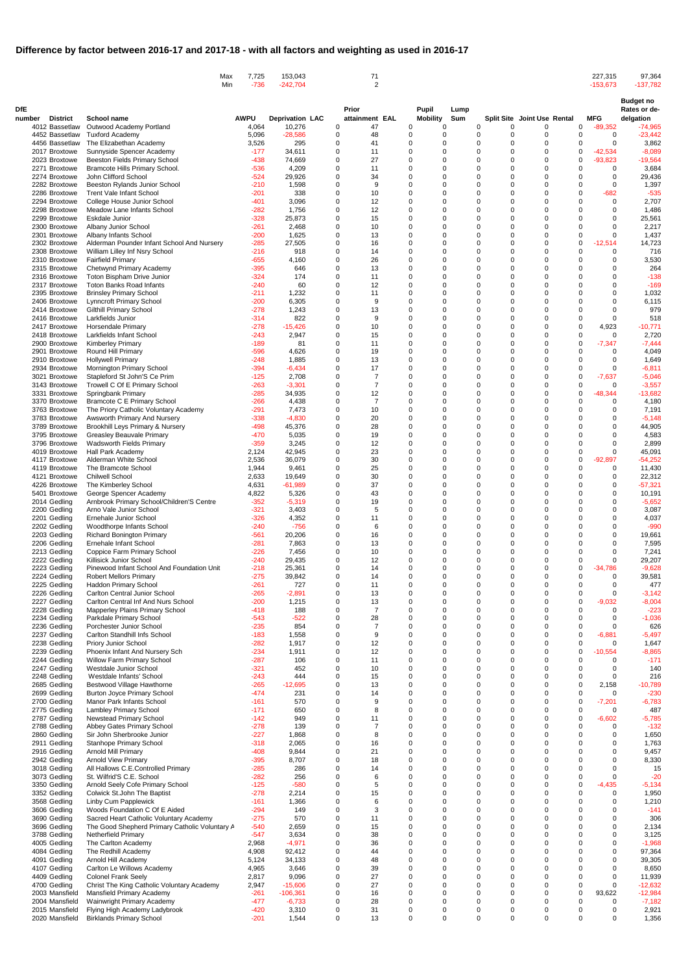|                                  |                                                                                           | 7,725<br>Max<br>Min<br>$-736$ | 153,043<br>$-242,704$  | 71<br>$\overline{2}$                         |                                                          |      |                                |                                    | 227,315<br>$-153,673$                        | 97,364<br>$-137,782$             |
|----------------------------------|-------------------------------------------------------------------------------------------|-------------------------------|------------------------|----------------------------------------------|----------------------------------------------------------|------|--------------------------------|------------------------------------|----------------------------------------------|----------------------------------|
| DfE                              |                                                                                           |                               |                        | Prior                                        | <b>Pupil</b>                                             | Lump |                                |                                    |                                              | <b>Budget no</b><br>Rates or de- |
| <b>District</b><br>number        | <b>School name</b>                                                                        | <b>AWPU</b>                   | <b>Deprivation LAC</b> | attainment EAL                               | <b>Mobility</b>                                          | Sum  |                                | <b>Split Site Joint Use Rental</b> | <b>MFG</b>                                   | delgation                        |
| 4012 Bassetlaw                   | Outwood Academy Portland                                                                  | 4,064                         | 10,276                 | 47<br>0                                      | 0<br>$\Omega$<br>$\Omega$                                |      | 0<br>0<br>0<br>0               | 0<br>$\Omega$                      | $-89,352$<br>0                               | $-74,965$                        |
| 4452 Bassetlaw<br>4456 Bassetlaw | <b>Tuxford Academy</b><br>The Elizabethan Academy                                         | 5,096<br>3,526                | $-28,586$<br>295       | 48<br>0<br>41<br>0                           | $\mathbf 0$<br>$\mathbf 0$<br>$\Omega$                   |      | 0<br>0                         | $\Omega$                           | 0<br>0<br>0<br>$\mathbf 0$                   | $-23,442$<br>3,862               |
| 2017 Broxtowe                    | Sunnyside Spencer Academy                                                                 | $-177$                        | 34,611                 | $\Omega$<br>11                               | $\Omega$<br>$\Omega$                                     |      | 0<br>0                         |                                    | $-42,534$<br>0                               | $-8,089$                         |
| 2023 Broxtowe<br>2271 Broxtowe   | <b>Beeston Fields Primary School</b><br>Bramcote Hills Primary School.                    | $-438$<br>$-536$              | 74,669<br>4,209        | 27<br>$\Omega$<br>11<br>0                    | $\Omega$<br>$\Omega$<br>$\Omega$<br>$\Omega$             |      | $\Omega$<br>0<br>0<br>0        |                                    | $-93,823$<br>0<br>0<br>0                     | $-19,564$<br>3,684               |
| 2274 Broxtowe                    | John Clifford School                                                                      | $-524$                        | 29,926                 | 34<br>$\Omega$                               | $\Omega$<br>$\Omega$                                     |      | 0<br>0                         |                                    | $\Omega$<br>$\Omega$                         | 29,436                           |
| 2282 Broxtowe                    | Beeston Rylands Junior School                                                             | $-210$<br>$-201$              | 1,598<br>338           | 0<br>9<br>0                                  | $\Omega$<br>$\Omega$<br>$\Omega$<br>$\Omega$             |      | $\Omega$<br>0<br>0<br>0        |                                    | $\Omega$<br>0<br>$-682$<br>0                 | 1,397                            |
| 2286 Broxtowe<br>2294 Broxtowe   | <b>Trent Vale Infant School</b><br>College House Junior School                            | $-401$                        | 3,096                  | 10<br>12<br>0                                | $\Omega$<br>$\Omega$                                     |      | $\Omega$<br>0                  |                                    | 0                                            | $-535$<br>2,707                  |
| 2298 Broxtowe                    | Meadow Lane Infants School                                                                | $-282$                        | 1,756                  | 12<br>$\Omega$                               | $\Omega$<br>$\Omega$                                     |      | $\Omega$<br>0                  |                                    | $\Omega$<br>$\Omega$                         | 1,486                            |
| 2299 Broxtowe<br>2300 Broxtowe   | Eskdale Junior<br>Albany Junior School                                                    | $-328$<br>$-261$              | 25,873<br>2,468        | $\Omega$<br>15<br>10<br>0                    | $\Omega$<br>$\Omega$<br>$\mathbf 0$<br>$\mathbf 0$       |      | $\Omega$<br>0<br>0<br>0        |                                    | $\Omega$<br>$\Omega$<br>$\Omega$<br>$\Omega$ | 25,561<br>2,217                  |
| 2301 Broxtowe                    | Albany Infants School                                                                     | $-200$                        | 1,625                  | 13<br>$\Omega$                               | $\mathbf 0$<br>$\Omega$                                  |      | 0<br>0                         |                                    | 0<br>0                                       | 1,437                            |
| 2302 Broxtowe                    | Alderman Pounder Infant School And Nursery                                                | $-285$                        | 27,505                 | $\Omega$<br>16                               | $\Omega$<br>$\Omega$<br>$\Omega$<br>$\Omega$             |      | $\Omega$<br>0<br>0<br>0        | $\Omega$                           | 0<br>$-12,514$<br>0                          | 14,723<br>716                    |
| 2308 Broxtowe<br>2310 Broxtowe   | William Lilley Inf Nsry School<br><b>Fairfield Primary</b>                                | $-216$<br>$-655$              | 918<br>4,160           | 14<br>0<br>26<br>$\Omega$                    | $\Omega$<br>$\Omega$                                     |      | 0<br>0                         |                                    | 0<br>$\Omega$<br>$\Omega$                    | 3,530                            |
| 2315 Broxtowe                    | Chetwynd Primary Academy                                                                  | $-395$                        | 646                    | 0<br>13                                      | $\Omega$<br>$\Omega$                                     |      | $\Omega$<br>0                  |                                    | $\Omega$<br>$\Omega$                         | 264                              |
| 2316 Broxtowe<br>2317 Broxtowe   | <b>Toton Bispham Drive Junior</b><br><b>Toton Banks Road Infants</b>                      | $-324$<br>$-240$              | 174<br>60              | 11<br>0<br>12<br>$\Omega$                    | $\mathbf 0$<br>$\Omega$<br>$\Omega$<br>$\Omega$          |      | 0<br>0<br>0<br>0               |                                    | $\Omega$<br>$\Omega$<br>$\Omega$<br>$\Omega$ | $-138$<br>$-169$                 |
| 2395 Broxtowe                    | <b>Brinsley Primary School</b>                                                            | $-211$                        | 1,232                  | $\Omega$<br>11                               | $\Omega$<br>$\Omega$                                     |      | $\Omega$<br>0                  |                                    | $\Omega$<br>$\Omega$                         | 1,032                            |
| 2406 Broxtowe                    | <b>Lynncroft Primary School</b>                                                           | $-200$                        | 6,305                  | $\Omega$<br>9                                | $\Omega$<br>$\Omega$                                     |      | 0<br>0                         | 0                                  | $\Omega$<br>$\Omega$                         | 6,115                            |
| 2414 Broxtowe<br>2416 Broxtowe   | <b>Gilthill Primary School</b><br>Larkfields Junior                                       | $-278$<br>$-314$              | 1,243<br>822           | 13<br>0<br>9<br>$\Omega$                     | $\overline{0}$<br>$\Omega$<br>$\overline{0}$<br>$\Omega$ |      | 0<br>0<br>0<br>0               |                                    | 0<br>0<br>0<br>0                             | 979<br>518                       |
| 2417 Broxtowe                    | <b>Horsendale Primary</b>                                                                 | $-278$                        | $-15,426$              | $\Omega$<br>10                               | $\Omega$<br>$\Omega$                                     |      | $\Omega$<br>0                  | 0                                  | $\Omega$<br>4,923                            | $-10,771$                        |
| 2418 Broxtowe<br>2900 Broxtowe   | Larkfields Infant School                                                                  | $-243$<br>$-189$              | 2,947<br>81            | 15<br>0<br>11<br>$\Omega$                    | $\Omega$<br>0<br>$\Omega$<br>$\Omega$                    |      | 0<br>0<br>0<br>0               | 0<br>0                             | 0<br>0<br>0<br>$-7,347$                      | 2,720<br>$-7,444$                |
| 2901 Broxtowe                    | <b>Kimberley Primary</b><br>Round Hill Primary                                            | $-596$                        | 4,626                  | $\Omega$<br>19                               | $\Omega$<br>$\Omega$                                     |      | $\Omega$<br>0                  |                                    | $\Omega$<br>0                                | 4,049                            |
| 2910 Broxtowe                    | <b>Hollywell Primary</b>                                                                  | $-248$                        | 1,885                  | 13<br>0                                      | $\mathbf 0$<br>$\Omega$                                  |      | 0<br>0                         |                                    | $\Omega$<br>$\Omega$                         | 1,649                            |
| 2934 Broxtowe<br>3021 Broxtowe   | Mornington Primary School<br>Stapleford St John'S Ce Prim                                 | $-394$<br>$-125$              | $-6,434$<br>2,708      | 17<br>0<br>$\overline{7}$<br>$\Omega$        | $\Omega$<br>$\Omega$<br>$\Omega$<br>$\Omega$             |      | 0<br>0<br>$\Omega$<br>0        |                                    | $\Omega$<br>0<br>$\Omega$<br>$-7,637$        | $-6,811$<br>$-5,046$             |
| 3143 Broxtowe                    | Trowell C Of E Primary School                                                             | $-263$                        | $-3,301$               | $\overline{7}$<br>$\Omega$                   | $\mathbf 0$<br>$\Omega$                                  |      | 0<br>0                         | $\Omega$                           | 0<br>0                                       | $-3,557$                         |
| 3331 Broxtowe                    | Springbank Primary                                                                        | $-285$                        | 34,935                 | 12<br>0                                      | $\mathbf 0$<br>$\Omega$                                  |      | 0<br>0                         | 0                                  | 0<br>-48,344                                 | $-13,682$                        |
| 3370 Broxtowe<br>3763 Broxtowe   | <b>Bramcote C E Primary School</b><br>The Priory Catholic Voluntary Academy               | $-266$<br>$-291$              | 4,438<br>7,473         | $\overline{7}$<br>$\Omega$<br>$\Omega$<br>10 | $\Omega$<br>$\Omega$<br>$\Omega$<br>$\Omega$             |      | 0<br>0<br>$\Omega$<br>0        |                                    | $\Omega$<br>0<br>O<br>$\Omega$               | 4,180<br>7,191                   |
| 3783 Broxtowe                    | Awsworth Primary And Nursery                                                              | $-338$                        | $-4,830$               | 20<br>0                                      | $\mathbf 0$<br>0                                         |      | 0<br>0                         |                                    | 0<br><sup>0</sup>                            | $-5,148$                         |
| 3789 Broxtowe<br>3795 Broxtowe   | Brookhill Leys Primary & Nursery<br>Greasley Beauvale Primary                             | $-498$<br>$-470$              | 45,376<br>5.035        | 28<br>$\Omega$<br>0<br>19                    | $\Omega$<br>$\Omega$<br>$\Omega$<br>$\Omega$             |      | 0<br>0<br>$\Omega$<br>$\Omega$ | $\Omega$                           | $\Omega$<br>$\Omega$<br>U<br>∩               | 44,905<br>4,583                  |
| 3796 Broxtowe                    | <b>Wadsworth Fields Primary</b>                                                           | $-359$                        | 3,245                  | 12<br>0                                      | $\mathbf 0$<br>$\Omega$                                  |      | 0<br>0                         |                                    | $\Omega$<br>0                                | 2,899                            |
| 4019 Broxtowe                    | Hall Park Academy                                                                         | 2,124                         | 42,945                 | 23<br>0                                      | $\Omega$<br>$\Omega$                                     |      | 0<br>0                         |                                    | $\mathbf 0$                                  | 45,091                           |
| 4117 Broxtowe<br>4119 Broxtowe   | Alderman White School<br>The Bramcote School                                              | 2,536<br>1,944                | 36,079<br>9,461        | 30<br>$\Omega$<br>25<br>$\Omega$             | $\Omega$<br>$\Omega$<br>$\Omega$<br>$\Omega$             |      | $\Omega$<br>0<br>$\Omega$<br>0 |                                    | $-92,897$<br>0<br>$\Omega$<br>0              | $-54,252$<br>11,430              |
| 4121 Broxtowe                    | <b>Chilwell School</b>                                                                    | 2,633                         | 19,649                 | 30<br>0                                      | $\Omega$<br>$\Omega$                                     |      | 0<br>0                         |                                    | $\Omega$<br>0                                | 22,312                           |
| 4226 Broxtowe                    | The Kimberley School                                                                      | 4,631                         | $-61,989$              | 37<br>$\Omega$                               | $\Omega$<br>$\Omega$<br>$\Omega$<br>$\Omega$             |      | $\Omega$<br>0<br>$\Omega$<br>U |                                    | $\Omega$<br>$\Omega$<br>$\Omega$             | $-57,321$                        |
| 5401 Broxtowe<br>2014 Gedling    | George Spencer Academy<br>Arnbrook Primary School/Children'S Centre                       | 4,822<br>$-352$               | 5,326<br>$-5,319$      | 43<br>$\Omega$<br>19<br>0                    | $\Omega$<br>$\Omega$                                     |      | $\Omega$<br>0                  |                                    | $\Omega$<br>$\Omega$<br>$\Omega$             | 10,191<br>$-5,652$               |
| 2200 Gedling                     | Arno Vale Junior School                                                                   | $-321$                        | 3,403                  | 5                                            | $\Omega$<br>$\Omega$                                     |      | $\Omega$<br>U                  |                                    | $\Omega$                                     | 3,087                            |
| 2201 Gedling<br>2202 Gedling     | Ernehale Junior School<br>Woodthorpe Infants School                                       | $-326$<br>$-240$              | 4,352<br>$-756$        | $\Omega$<br>11<br>$\Omega$<br>6              | $\Omega$<br>$\Omega$<br>$\Omega$                         |      | O<br>0<br>0                    |                                    | $\Omega$<br>$\Omega$<br>$\Omega$             | 4,037<br>$-990$                  |
| 2203 Gedling                     | <b>Richard Bonington Primary</b>                                                          | $-561$                        | 20,206                 | 0<br>16                                      | $\Omega$<br>$\Omega$                                     |      | $\Omega$<br>0                  |                                    | $\Omega$<br>$\Omega$                         | 19,661                           |
| 2206 Gedling                     | Ernehale Infant School                                                                    | $-281$                        | 7,863                  | $\Omega$<br>13                               | $\Omega$<br>$\Omega$                                     |      | $\Omega$<br>0                  |                                    | $\Omega$<br>$\Omega$                         | 7,595                            |
| 2213 Gedling<br>2222 Gedling     | Coppice Farm Primary School<br>Killisick Junior School                                    | $-226$<br>$-240$              | 7,456<br>29,435        | $\Omega$<br>10<br>12<br>0                    | $\Omega$<br>$\Omega$<br>$\Omega$                         |      | $\Omega$<br>0<br>$\Omega$<br>0 |                                    | $\Omega$<br>$\Omega$<br>0<br>$\mathbf 0$     | 7,241<br>29,207                  |
| 2223 Gedling                     | Pinewood Infant School And Foundation Unit                                                | $-218$                        | 25,361                 | 14<br>$\Omega$                               | $\Omega$<br>$\Omega$                                     |      | $\Omega$<br>U                  |                                    | 0<br>-34,786                                 | $-9,628$                         |
| 2224 Gedling<br>2225 Gedling     | <b>Robert Mellors Primary</b>                                                             | $-275$<br>$-261$              | 39,842<br>727          | $\Omega$<br>14<br>11<br>0                    | $\Omega$<br>$\Omega$<br>$\Omega$<br>$\Omega$             |      | $\Omega$<br>0<br>0<br>0        |                                    | 0<br>0<br>$\Omega$<br>0                      | 39,581<br>477                    |
| 2226 Gedling                     | Haddon Primary School<br>Carlton Central Junior School                                    | $-265$                        | $-2,891$               | 13<br>$\Omega$                               | $\Omega$<br>$\Omega$                                     |      | 0<br>0                         |                                    | 0<br>0                                       | $-3,142$                         |
| 2227 Gedling                     | Carlton Central Inf And Nurs School                                                       | $-200$                        | 1,215                  | $\Omega$<br>13                               | $\Omega$                                                 |      | $\Omega$<br>U                  |                                    | $\mathbf 0$<br>-9,032                        | $-8,004$                         |
| 2228 Gedling<br>2234 Gedling     | Mapperley Plains Primary School<br>Parkdale Primary School                                | $-418$<br>$-543$              | 188<br>$-522$          | $\overline{7}$<br>$\Omega$<br>28<br>0        | $\Omega$<br>$\Omega$<br>$\Omega$                         |      | $\Omega$<br>0<br>$\Omega$      |                                    | 0<br>$\Omega$<br>$\Omega$                    | $-223$<br>$-1,036$               |
| 2236 Gedling                     | Porchester Junior School                                                                  | $-235$                        | 854                    | $\Omega$                                     | $\Omega$<br>$\Omega$                                     |      | $\Omega$<br>0                  |                                    | $\Omega$<br>$\Omega$                         | 626                              |
| 2237 Gedling                     | Carlton Standhill Infs School                                                             | $-183$<br>$-282$              | 1,558<br>1,917         | $\Omega$<br>12<br>0                          | $\Omega$<br>$\Omega$<br>$\Omega$                         |      | $\Omega$<br>0<br>0<br>0        |                                    | 0<br>$-6,881$<br>0                           | $-5,497$                         |
| 2238 Gedling<br>2239 Gedling     | Priory Junior School<br>Phoenix Infant And Nursery Sch                                    | $-234$                        | 1,911                  | 12<br>$\Omega$                               | $\Omega$<br>$\Omega$                                     |      | $\Omega$<br>0                  |                                    | 0<br>$\Omega$<br>$-10,554$                   | 1,647<br>$-8,865$                |
| 2244 Gedling                     | Willow Farm Primary School                                                                | $-287$                        | 106                    | 11<br>0                                      | $\Omega$                                                 |      | $\Omega$<br>ሰ                  |                                    | O<br>0                                       | $-171$                           |
| 2247 Gedling<br>2248 Gedling     | Westdale Junior School<br>Westdale Infants' School                                        | $-321$<br>$-243$              | 452<br>444             | 10<br>0<br>15                                | $\Omega$<br>$\Omega$<br>$\Omega$<br>$\Omega$             |      | $\Omega$<br>0<br>$\Omega$<br>0 |                                    | 0<br>0<br>$\Omega$<br>$\mathbf 0$            | 140<br>216                       |
| 2685 Gedling                     | Bestwood Village Hawthorne                                                                | $-265$                        | $-12,695$              | $\Omega$<br>13                               | $\Omega$                                                 |      | $\Omega$<br>0                  |                                    | $\mathbf 0$<br>2,158                         | $-10,789$                        |
| 2699 Gedling                     | <b>Burton Joyce Primary School</b>                                                        | $-474$<br>$-161$              | 231<br>570             | 14<br>$\Omega$                               | $\Omega$<br>$\Omega$<br>$\Omega$                         |      | 0<br>0<br>$\Omega$<br>0        |                                    | 0<br>0<br>$\mathbf 0$                        | $-230$<br>$-6,783$               |
| 2700 Gedling<br>2775 Gedling     | Manor Park Infants School<br><b>Lambley Primary School</b>                                | $-171$                        | 650                    | $\Omega$                                     | $\Omega$                                                 |      | $\Omega$<br>0                  |                                    | $-7,201$<br>0<br>0                           | 487                              |
| 2787 Gedling                     | Newstead Primary School                                                                   | $-142$                        | 949                    | 11<br>$\Omega$                               | $\Omega$<br>$\Omega$                                     |      | $\Omega$<br>U                  |                                    | $-6,602$<br>$\Omega$                         | $-5,785$                         |
| 2788 Gedling<br>2860 Gedling     | Abbey Gates Primary School<br>Sir John Sherbrooke Junior                                  | $-278$<br>$-227$              | 139<br>1,868           | 8<br>$\Omega$                                | $\Omega$<br>$\Omega$<br>$\Omega$                         |      | $\Omega$<br>0<br>$\Omega$<br>0 |                                    | 0<br>0<br>$\Omega$<br>$\Omega$               | $-132$<br>1,650                  |
| 2911 Gedling                     | <b>Stanhope Primary School</b>                                                            | $-318$                        | 2,065                  | $\Omega$<br>16                               | $\Omega$<br>$\Omega$                                     |      | $\Omega$<br>U                  |                                    | $\Omega$<br>$\Omega$                         | 1,763                            |
| 2916 Gedling                     | Arnold Mill Primary                                                                       | $-408$                        | 9,844                  | 21<br>0                                      | $\Omega$<br>$\Omega$                                     |      | 0<br>0                         |                                    | $\Omega$<br>$\Omega$                         | 9,457                            |
| 2942 Gedling<br>3018 Gedling     | <b>Arnold View Primary</b><br>All Hallows C.E.Controlled Primary                          | $-395$<br>$-285$              | 8,707<br>286           | 18<br>$\Omega$<br>14                         | $\Omega$<br>$\Omega$<br>$\Omega$                         |      | $\Omega$<br>0<br>$\Omega$<br>U |                                    | $\Omega$<br>$\Omega$                         | 8,330<br>15                      |
| 3073 Gedling                     | St. Wilfrid'S C.E. School                                                                 | $-282$                        | 256                    | 0<br>6                                       | $\Omega$<br>$\Omega$                                     |      | 0<br>0                         |                                    | 0<br>$\mathbf 0$                             | $-20$                            |
| 3350 Gedling<br>3352 Gedling     | Arnold Seely Cofe Primary School<br>Colwick St.John The Baptist                           | $-125$<br>$-278$              | $-580$<br>2,214        | $\Omega$<br>5<br>$\Omega$<br>15              | $\Omega$<br>$\Omega$<br>$\Omega$<br>$\Omega$             |      | 0<br>0<br>$\Omega$<br>0        |                                    | 0<br>.435<br>-4<br>$\Omega$<br>0             | $-5,134$<br>1,950                |
| 3568 Gedling                     | Linby Cum Papplewick                                                                      | $-161$                        | 1,366                  | $\Omega$                                     | $\Omega$<br>$\Omega$                                     |      | $\Omega$<br>0                  | O                                  | 0<br>$\Omega$                                | 1,210                            |
| 3606 Gedling                     | Woods Foundation C Of E Aided                                                             | $-294$                        | 149                    | 3<br>0                                       | 0<br>0                                                   |      | 0<br>0                         | 0                                  | 0<br>0                                       | $-141$                           |
| 3690 Gedling<br>3696 Gedling     | Sacred Heart Catholic Voluntary Academy<br>The Good Shepherd Primary Catholic Voluntary A | $-275$<br>$-540$              | 570<br>2,659           | 11<br>0<br>0<br>15                           | 0<br>$\mathbf 0$<br>$\mathbf 0$<br>$\Omega$              |      | 0<br>0<br>$\Omega$<br>0        | $\Omega$                           | 0<br>0<br>$\Omega$<br>$\Omega$               | 306<br>2,134                     |
| 3788 Gedling                     | <b>Netherfield Primary</b>                                                                | $-547$                        | 3,634                  | 38<br>0                                      | $\overline{0}$<br>0                                      |      | 0<br>0                         |                                    | 0<br>$\Omega$                                | 3,125                            |
| 4005 Gedling                     | The Carlton Academy                                                                       | 2,968                         | $-4,971$               | 36<br>0                                      | $\mathbf 0$<br>$\mathbf 0$<br>$\Omega$                   |      | 0<br>0<br>$\Omega$<br>U        |                                    | $\Omega$<br>$\Omega$<br>$\Omega$             | $-1,968$                         |
| 4084 Gedling<br>4091 Gedling     | The Redhill Academy<br>Arnold Hill Academy                                                | 4,908<br>5,124                | 92,412<br>34,133       | 0<br>44<br>48<br>0                           | $\Omega$<br>$\Omega$<br>$\Omega$                         |      | $\Omega$                       |                                    | $\Omega$<br>0<br>$\Omega$                    | 97,364<br>39,305                 |
| 4107 Gedling                     | Carlton Le Willows Academy                                                                | 4,965                         | 3,646                  | 39<br>0                                      | $\overline{0}$<br>$\Omega$                               |      | $\Omega$                       |                                    |                                              | 8,650                            |
| 4409 Gedling<br>4700 Gedling     | <b>Colonel Frank Seely</b><br>Christ The King Catholic Voluntary Academy                  | 2,817<br>2,947                | 9,096<br>$-15,606$     | 27<br>0<br>27<br>0                           | 0<br>0<br>$\Omega$<br>$\Omega$                           |      | $\Omega$<br>0<br>$\Omega$<br>0 |                                    | $\Omega$<br>$\Omega$<br>0<br>0               | 11,939<br>$-12,632$              |
| 2003 Mansfield                   | Mansfield Primary Academy                                                                 | $-261$                        | $-106,361$             | 16<br>0                                      | 0<br>$\mathbf 0$                                         |      | 0<br>0                         |                                    | 0<br>93,622                                  | $-12,984$                        |
| 2004 Mansfield<br>2015 Mansfield | Wainwright Primary Academy<br>Flying High Academy Ladybrook                               | $-477$<br>$-420$              | $-6,733$<br>3,310      | 28<br>0<br>0                                 | 0<br>$\Omega$<br>0                                       |      | 0<br>0<br>0<br>0               |                                    | 0<br>0<br>0                                  | $-7,182$                         |
| 2020 Mansfield                   | <b>Birklands Primary School</b>                                                           | $-201$                        | 1,544                  | 31<br>13<br>0                                | 0<br>0<br>$\mathbf 0$                                    |      | $\Omega$<br>0                  |                                    | 0<br>$\Omega$<br>$\Omega$                    | 2,921<br>1,356                   |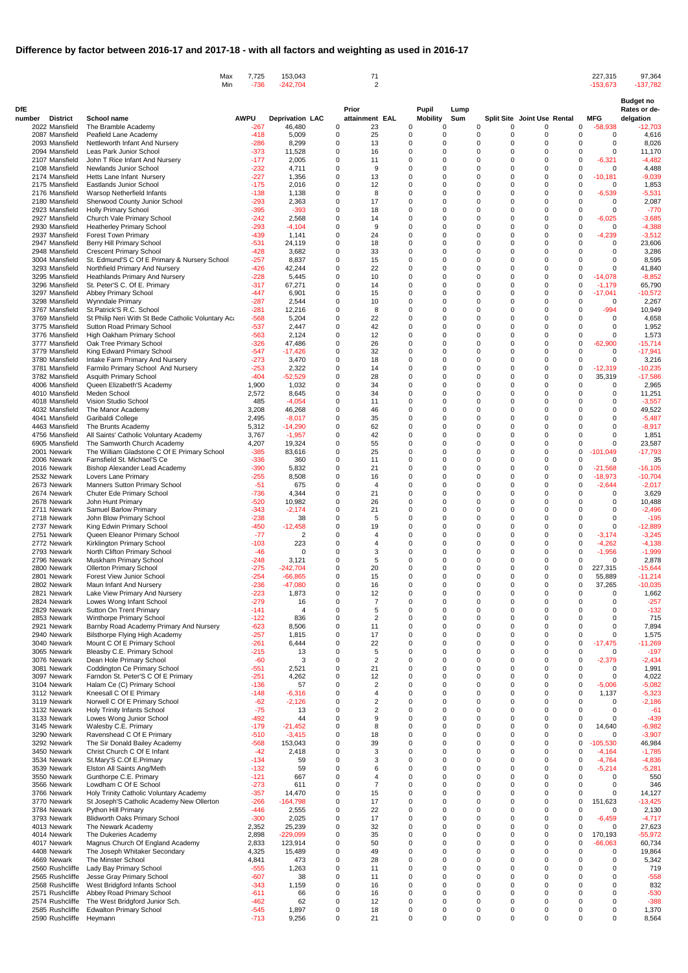|                                    | Max                                                                              | 7,725<br>Min<br>$-736$ | 153,043<br>$-242,704$  | 71<br>2                       |                                                    |             |                         |                                    | 227,315<br>$-153,673$                    | 97,364<br>$-137,782$             |
|------------------------------------|----------------------------------------------------------------------------------|------------------------|------------------------|-------------------------------|----------------------------------------------------|-------------|-------------------------|------------------------------------|------------------------------------------|----------------------------------|
| DfE<br><b>District</b><br>number   | <b>School name</b>                                                               | <b>AWPU</b>            | <b>Deprivation LAC</b> | Prior<br>attainment EAL       | <b>Pupil</b><br><b>Mobility</b>                    | Lump<br>Sum |                         | <b>Split Site Joint Use Rental</b> | <b>MFG</b>                               | <b>Budget no</b><br>Rates or de- |
| 2022 Mansfield                     | The Bramble Academy                                                              | $-267$                 | 46,480                 | 23<br>0                       | 0<br>$\Omega$                                      |             | 0<br>0                  | 0                                  | $-58,938$<br>0                           | delgation<br>$-12,703$           |
| 2087 Mansfield                     | Peafield Lane Academy                                                            | $-418$                 | 5,009                  | 25<br>0                       | 0<br>$\Omega$                                      |             | $\Omega$<br>0           | $\Omega$                           | 0<br>0                                   | 4,616                            |
| 2093 Mansfield                     | Nettleworth Infant And Nursery                                                   | $-286$                 | 8,299                  | 13<br>0                       | 0<br>$\Omega$                                      |             | 0<br>0                  | 0                                  | 0<br>0                                   | 8,026                            |
| 2094 Mansfield<br>2107 Mansfield   | Leas Park Junior School<br>John T Rice Infant And Nursery                        | $-373$<br>$-177$       | 11,528<br>2,005        | 0<br>16<br>11<br>0            | $\mathbf 0$<br>$\Omega$<br>$\Omega$<br>$\Omega$    |             | 0<br>0<br>$\Omega$<br>0 | $\Omega$                           | 0<br>$\Omega$<br>$\Omega$<br>$-6,321$    | 11,170<br>$-4,482$               |
| 2108 Mansfield                     | Newlands Junior School                                                           | $-232$                 | 4,711                  | 0<br>9                        | $\mathbf 0$<br>$\Omega$                            |             | 0<br>0                  | $\Omega$                           | 0<br>0                                   | 4,488                            |
| 2174 Mansfield                     | Hetts Lane Infant Nursery                                                        | $-227$                 | 1,356                  | 0<br>13                       | $\mathbf 0$<br>$\Omega$                            |             | 0<br>0                  |                                    | 0<br>$-10,181$                           | $-9,039$                         |
| 2175 Mansfield<br>2176 Mansfield   | <b>Eastlands Junior School</b><br>Warsop Netherfield Infants                     | $-175$<br>$-138$       | 2,016<br>1,138         | 12<br>$\Omega$<br>0<br>8      | 0<br>$\Omega$<br>0<br>$\Omega$                     |             | 0<br>0<br>$\Omega$<br>0 | $\Omega$                           | $\mathbf 0$<br>0<br>$\Omega$<br>$-6,539$ | 1,853<br>$-5,531$                |
| 2180 Mansfield                     | Sherwood County Junior School                                                    | $-293$                 | 2,363                  | 17<br>0                       | $\mathbf 0$<br>$\Omega$                            |             | 0<br>0                  |                                    | 0<br>0                                   | 2,087                            |
| 2923 Mansfield                     | <b>Holly Primary School</b>                                                      | $-395$                 | $-393$                 | 18<br>0                       | $\mathbf 0$<br>$\Omega$                            |             | 0<br>0                  |                                    | 0<br>$\Omega$                            | $-770$                           |
| 2927 Mansfield<br>2930 Mansfield   | Church Vale Primary School<br><b>Heatherley Primary School</b>                   | -242<br>$-293$         | 2,568<br>$-4,104$      | 0<br>14<br>9<br>0             | $\Omega$<br>$\Omega$<br>$\mathbf 0$<br>$\Omega$    |             | $\Omega$<br>0<br>0<br>0 | $\Omega$                           | $\mathbf 0$<br>$-6,025$<br>0<br>0        | $-3,685$<br>$-4,388$             |
| 2937 Mansfield                     | <b>Forest Town Primary</b>                                                       | -439                   | 1,141                  | 0<br>24                       | $\Omega$<br>$\Omega$                               |             | 0<br>0                  |                                    | 0<br>$-4,239$                            | $-3,512$                         |
| 2947 Mansfield                     | <b>Berry Hill Primary School</b>                                                 | -531                   | 24,119                 | 18<br>0                       | $\Omega$<br>$\Omega$                               |             | $\Omega$<br>0           |                                    | $\Omega$<br>0                            | 23,606                           |
| 2948 Mansfield                     | <b>Crescent Primary School</b>                                                   | $-428$                 | 3,682                  | 33<br>0                       | $\mathbf 0$<br>$\Omega$                            |             | $\Omega$<br>0           | 0                                  | $\Omega$<br>0                            | 3,286                            |
| 3004 Mansfield<br>3293 Mansfield   | St. Edmund'S C Of E Primary & Nursery School<br>Northfield Primary And Nursery   | $-257$<br>$-426$       | 8,837<br>42,244        | 15<br>0<br>22<br>0            | $\mathbf 0$<br>$\Omega$<br>$\mathbf 0$<br>$\Omega$ |             | $\Omega$<br>0<br>0<br>0 |                                    | 0<br>0<br>$\Omega$<br>$\Omega$           | 8,595<br>41,840                  |
| 3295 Mansfield                     | <b>Heathlands Primary And Nursery</b>                                            | $-228$                 | 5,445                  | 0<br>10                       | 0<br>$\Omega$                                      |             | $\Omega$<br>0           | $\Omega$                           | $\Omega$<br>$-14,078$                    | $-8,852$                         |
| 3296 Mansfield                     | St. Peter'S C. Of E. Primary                                                     | -317                   | 67,271                 | 14<br>0                       | 0<br>$\Omega$                                      |             | 0<br>0                  | $\Omega$                           | 0<br>$-1,179$                            | 65,790                           |
| 3297 Mansfield<br>3298 Mansfield   | <b>Abbey Primary School</b><br><b>Wynndale Primary</b>                           | $-447$<br>$-287$       | 6,901<br>2,544         | 15<br>0<br>0<br>10            | $\mathbf 0$<br>$\Omega$<br>$\Omega$<br>$\Omega$    |             | 0<br>0<br>$\Omega$<br>0 |                                    | 0<br>$-17,041$<br>0<br>0                 | $-10,572$<br>2,267               |
| 3767 Mansfield                     | St.Patrick'S R.C. School                                                         | $-281$                 | 12,216                 | 8<br>0                        | 0<br>$\Omega$                                      |             | 0<br>0                  | $\Omega$                           | $-994$<br>$\Omega$                       | 10,949                           |
| 3769 Mansfield                     | St Philip Neri With St Bede Catholic Voluntary Act                               | $-568$                 | 5,204                  | 22<br>0                       | $\Omega$<br>$\Omega$                               |             | 0<br>0                  |                                    | 0<br>$\Omega$                            | 4,658                            |
| 3775 Mansfield                     | <b>Sutton Road Primary School</b>                                                | -537                   | 2,447                  | 42<br>0                       | $\Omega$<br>$\Omega$                               |             | $\Omega$<br>0           |                                    | $\Omega$<br>$\Omega$                     | 1,952                            |
| 3776 Mansfield<br>3777 Mansfield   | High Oakham Primary School<br>Oak Tree Primary School                            | $-563$<br>$-326$       | 2,124<br>47,486        | 12<br>0<br>26<br>0            | $\mathbf 0$<br>$\Omega$<br>$\mathbf 0$<br>$\Omega$ |             | $\Omega$<br>0<br>0<br>0 | $\Omega$                           | 0<br>$\Omega$<br>0<br>$-62,900$          | 1,573<br>$-15,714$               |
| 3779 Mansfield                     | King Edward Primary School                                                       | $-547$                 | $-17,426$              | 32<br>0                       | $\mathbf 0$<br>$\Omega$                            |             | 0<br>0                  |                                    | $\Omega$<br>0                            | $-17,941$                        |
| 3780 Mansfield                     | Intake Farm Primary And Nursery                                                  | $-273$                 | 3,470                  | 0<br>18                       | 0<br>$\Omega$                                      |             | $\Omega$<br>0           | $\Omega$                           | $\Omega$<br>0                            | 3,216                            |
| 3781 Mansfield<br>3782 Mansfield   | Farmilo Primary School And Nursery                                               | $-253$<br>$-404$       | 2,322<br>$-52,529$     | 14<br>0<br>28<br>0            | 0<br>$\Omega$<br>$\mathbf 0$<br>$\Omega$           |             | 0<br>0<br>0<br>0        | $\Omega$                           | 0<br>$-12,319$<br>0<br>35,319            | $-10,235$<br>$-17,586$           |
| 4006 Mansfield                     | <b>Asquith Primary School</b><br>Queen Elizabeth'S Academy                       | 1,900                  | 1,032                  | 0<br>34                       | $\Omega$<br>$\Omega$                               |             | $\Omega$<br>0           |                                    | 0<br>0                                   | 2,965                            |
| 4010 Mansfield                     | Meden School                                                                     | 2,572                  | 8,645                  | 0<br>34                       | $\mathbf 0$<br>$\Omega$                            |             | 0<br>0                  | $\Omega$                           | 0<br>0                                   | 11,251                           |
| 4018 Mansfield                     | Vision Studio School                                                             | 485                    | $-4,054$               | 0<br>11                       | $\Omega$<br>$\Omega$                               |             | 0<br>0                  |                                    | $\Omega$<br>0                            | $-3,557$                         |
| 4032 Mansfield<br>4041 Mansfield   | The Manor Academy<br>Garibaldi College                                           | 3,208<br>2,495         | 46,268<br>$-8,017$     | 46<br>0<br>35<br>0            | $\Omega$<br>$\Omega$<br>0<br>$\Omega$              |             | 0<br>0<br>0<br>0        | $\Omega$                           | 0<br>0<br>0<br>U                         | 49,522<br>$-5,487$               |
| 4463 Mansfield                     | The Brunts Academy                                                               | 5,312                  | $-14,290$              | 62<br>0                       | $\mathbf 0$<br>$\Omega$                            |             | 0<br>0                  | $\Omega$                           | $\mathbf 0$<br>$\Omega$                  | $-8,917$                         |
|                                    | 4756 Mansfield All Saints' Catholic Voluntary Academy                            | 3,767                  | $-1,957$               | $\Omega$<br>42                | $\Omega$<br>$\Omega$                               |             | $\Omega$<br>$\Omega$    | $\Omega$                           | $\Omega$<br>$\Omega$                     | 1,851                            |
| 6905 Mansfield                     | The Samworth Church Academy                                                      | 4,207                  | 19,324                 | 55<br>0<br>25<br>0            | $\Omega$<br>$\Omega$<br>$\Omega$<br>$\Omega$       |             | $\Omega$<br>0<br>0<br>0 | $\Omega$                           | $\Omega$<br>O<br>0                       | 23,587                           |
| 2001 Newark<br>2006 Newark         | The William Gladstone C Of E Primary School<br>Farnsfield St. Michael'S Ce       | $-385$<br>$-336$       | 83,616<br>360          | 11<br>0                       | $\Omega$<br>$\Omega$                               |             | $\Omega$<br>0           |                                    | $-101,049$<br>0                          | $-17,793$<br>35                  |
| 2016 Newark                        | Bishop Alexander Lead Academy                                                    | $-390$                 | 5,832                  | 0<br>21                       | $\Omega$<br>$\Omega$                               |             | $\Omega$<br>ი           |                                    | $-21,568$                                | $-16,105$                        |
| 2532 Newark                        | Lovers Lane Primary                                                              | $-255$                 | 8,508                  | 16<br>0                       | $\Omega$<br>$\Omega$                               |             | $\Omega$<br>0           |                                    | $-18,973$<br>0                           | $-10,704$                        |
| 2673 Newark<br>2674 Newark         | Manners Sutton Primary School<br>Chuter Ede Primary School                       | $-51$<br>-736          | 675<br>4,344           | 0<br>21                       | $\Omega$<br>$\Omega$<br>$\Omega$                   |             | $\Omega$<br>በ<br>U      |                                    | $\Omega$<br>$-2,644$<br>0<br>0           | $-2,017$<br>3,629                |
| 2678 Newark                        | John Hunt Primary                                                                | $-520$                 | 10,982                 | 26<br>0                       | $\Omega$<br>$\Omega$                               |             | 0<br>ი                  |                                    | $\Omega$<br>∩                            | 10,488                           |
| 2711 Newark                        | <b>Samuel Barlow Primary</b>                                                     | -343                   | $-2,174$               | 21                            | $\Omega$                                           |             | $\Omega$                |                                    | 0                                        | $-2,496$                         |
| 2718 Newark<br>2737 Newark         | John Blow Primary School<br>King Edwin Primary School                            | $-238$<br>$-450$       | 38<br>$-12,458$        | U<br>5<br>0<br>19             | $\Omega$<br>$\Omega$<br>$\Omega$<br>$\Omega$       |             | O                       |                                    | $\Omega$<br>$\Omega$<br>0                | $-195$<br>$-12,889$              |
| 2751 Newark                        | Queen Eleanor Primary School                                                     | $-77$                  |                        | 0                             | $\Omega$<br>$\Omega$                               |             | 0<br>0                  |                                    | 0<br>$-3,174$                            | $-3,245$                         |
| 2772 Newark                        | Kirklington Primary School                                                       | $-103$                 | 223                    | 0                             | $\Omega$<br>$\Omega$                               |             | $\Omega$<br>በ           |                                    | $\mathbf 0$<br>$-4,262$                  | $-4,138$                         |
| 2793 Newark                        | North Clifton Primary School                                                     | $-46$                  | $\Omega$               | 0                             | $\Omega$                                           |             | $\Omega$<br>በ           |                                    | $\Omega$<br>$-1,956$                     | $-1,999$                         |
| 2796 Newark<br>2800 Newark         | Muskham Primary School<br>Ollerton Primary School                                | $-248$<br>$-275$       | 3,121<br>$-242,704$    | 0<br>5<br>20                  | $\Omega$<br>$\Omega$<br>$\Omega$                   |             |                         |                                    | $\Omega$<br>0<br>$\Omega$<br>227,315     | 2,878<br>$-15,644$               |
| 2801 Newark                        | Forest View Junior School                                                        | -254                   | $-66,865$              | 15<br>0                       | $\Omega$<br>$\Omega$                               |             | በ<br>0                  |                                    | 0<br>55,889                              | $-11,214$                        |
| 2802 Newark                        | Maun Infant And Nursery                                                          | $-236$                 | $-47,080$              | 16<br>0                       | $\Omega$<br>$\Omega$                               |             | $\Omega$<br>0           | ∩                                  | 0<br>37,265                              | $-10,035$                        |
| 2821 Newark<br>2824 Newark         | Lake View Primary And Nursery<br>Lowes Wong Infant School                        | -223<br>$-279$         | 1,873<br>16            | 12<br>0<br>U<br>7             | $\Omega$<br>$\Omega$<br>$\Omega$                   |             | $\Omega$<br>$\Omega$    |                                    | 0<br>0<br>$\Omega$<br>$\Omega$           | 1,662<br>$-257$                  |
| 2829 Newark                        | Sutton On Trent Primary                                                          | $-141$                 |                        | U                             | $\Omega$                                           |             |                         |                                    | O                                        | $-132$                           |
| 2853 Newark                        | Winthorpe Primary School                                                         | $-122$                 | 836                    | 2<br>0                        | $\Omega$<br>$\Omega$                               |             | 0<br>ი                  |                                    | $\Omega$<br>$\Omega$                     | 715                              |
| 2921 Newark                        | Barnby Road Academy Primary And Nursery<br><b>Bilsthorpe Flying High Academy</b> | $-623$<br>$-257$       | 8,506                  | $\Omega$<br>11<br>17<br>0     | $\Omega$<br>$\Omega$<br>$\Omega$                   |             | 0<br>$\Omega$           |                                    | $\Omega$<br>$\Omega$<br>$\Omega$         | 7,894                            |
| 2940 Newark<br>3040 Newark         | Mount C Of E Primary School                                                      | $-261$                 | 1,815<br>6,444         | 22<br>0                       | $\Omega$<br>$\Omega$                               |             | 0<br>ი                  |                                    | $\mathbf 0$<br>$-17,475$                 | 1,575<br>$-11,269$               |
| 3065 Newark                        | Bleasby C.E. Primary School                                                      | $-215$                 | 13                     |                               | $\Omega$                                           |             | $\Omega$                |                                    | $\Omega$<br>0                            | $-197$                           |
| 3076 Newark                        | Dean Hole Primary School                                                         | $-60$                  |                        | 0                             | $\Omega$<br>$\Omega$<br>$\Omega$                   |             | በ<br>U<br>$\Omega$      |                                    | $\Omega$<br>$-2,379$                     | $-2,434$                         |
| 3081 Newark<br>3097 Newark         | Coddington Ce Primary School<br>Farndon St. Peter'S C Of E Primary               | $-551$<br>$-251$       | 2,521<br>4,262         | 21<br>$\Omega$<br>12<br>0     | $\Omega$<br>$\Omega$                               |             | 0<br>0                  |                                    | 0<br>0<br>0<br>$\mathbf 0$               | 1,991<br>4,022                   |
| 3104 Newark                        | Halam Ce (C) Primary School                                                      | $-136$                 | 57                     | $\overline{2}$<br>0           | $\Omega$<br>$\Omega$                               |             | $\Omega$<br>በ           |                                    | 0<br>$-5,006$                            | $-5,082$                         |
| 3112 Newark                        | Kneesall C Of E Primary                                                          | $-148$                 | $-6,316$               |                               | $\Omega$<br>$\Omega$                               |             | O<br>ი                  |                                    | $\Omega$<br>1,137                        | $-5,323$                         |
| 3119 Newark<br>3132 Newark         | Norwell C Of E Primary School<br><b>Holy Trinity Infants School</b>              | $-62$<br>$-75$         | $-2,126$<br>13         | 2<br>0<br>$\overline{2}$<br>U | $\Omega$<br>$\Omega$<br>$\Omega$<br>$\Omega$       |             | 0<br>0<br>0             |                                    | 0<br>$\Omega$<br>$\Omega$<br>∩           | $-2,186$<br>-61                  |
| 3133 Newark                        | Lowes Wong Junior School                                                         | -492                   | 44                     | 0                             | $\Omega$                                           |             | $\Omega$                |                                    | $\Omega$<br>$\Omega$                     | $-439$                           |
| 3145 Newark                        | Walesby C.E. Primary                                                             | $-179$                 | $-21,452$              | 0<br>8                        | $\Omega$<br>$\Omega$                               |             | 0                       |                                    | 0<br>14,640                              | $-6,982$                         |
| 3290 Newark                        | Ravenshead C Of E Primary                                                        | $-510$                 | $-3,415$               | 18                            | $\Omega$                                           |             |                         |                                    | $\mathbf 0$                              | $-3,907$                         |
| 3292 Newark<br>3450 Newark         | The Sir Donald Bailey Academy<br>Christ Church C Of E Infant                     | $-568$<br>$-42$        | 153,043<br>2,418       | 39<br>0<br>0<br>3             | $\Omega$<br>$\Omega$<br>$\Omega$<br>$\Omega$       |             | በ<br>0<br>$\Omega$<br>0 |                                    | $\Omega$<br>$-105,530$<br>0<br>-4,164    | 46,984<br>$-1,785$               |
| 3534 Newark                        | St.Mary'S C.Of E.Primary                                                         | $-134$                 | 59                     | 0                             | $\Omega$                                           |             | 0<br>በ                  |                                    | $-4,764$<br>0                            | $-4,836$                         |
| 3539 Newark                        | Elston All Saints Ang/Meth                                                       | $-132$                 | 59                     | 0                             | $\Omega$<br>$\Omega$                               |             | $\Omega$<br>0           |                                    | $\Omega$<br>$-5,214$                     | $-5,281$                         |
| 3550 Newark<br>3566 Newark         | Gunthorpe C.E. Primary<br>Lowdham C Of E School                                  | $-121$<br>$-273$       | 667<br>611             | 0                             | $\Omega$<br>$\Omega$<br>$\Omega$                   |             |                         |                                    | 0<br>0                                   | 550<br>346                       |
| 3766 Newark                        | Holy Trinity Catholic Voluntary Academy                                          | $-357$                 | 14,470                 | $\Omega$<br>15                | $\Omega$<br>$\Omega$                               |             | 0<br>0                  |                                    | $\Omega$<br>$\Omega$                     | 14,127                           |
| 3770 Newark                        | St Joseph'S Catholic Academy New Ollerton                                        | $-266$                 | $-164.798$             | 17<br>0                       | $\Omega$<br>$\Omega$                               |             | $\Omega$<br>U           |                                    | 0<br>151.623                             | $-13,425$                        |
| 3784 Newark                        | Python Hill Primary                                                              | $-446$                 | 2,555                  | 22<br>0                       | 0<br>$\mathbf 0$                                   |             | 0<br>0                  | 0                                  | 0<br>0                                   | 2,130                            |
| 3793 Newark<br>4013 Newark         | <b>Blidworth Oaks Primary School</b><br>The Newark Academy                       | $-300$<br>2,352        | 2,025<br>25,239        | 17<br>0<br>32<br>0            | $\mathbf 0$<br>$\Omega$<br>0<br>$\Omega$           |             | 0<br>0<br>0<br>0        |                                    | $\Omega$<br>$-6,459$<br>0<br>$\mathbf 0$ | $-4,717$<br>27,623               |
| 4014 Newark                        | The Dukeries Academy                                                             | 2,898                  | $-229,099$             | 35<br>0                       | 0<br>$\Omega$                                      |             | 0<br>0                  |                                    | 170,193<br>0                             | $-55,972$                        |
| 4017 Newark                        | Magnus Church Of England Academy                                                 | 2,833                  | 123,914                | 50<br>0                       | $\mathbf 0$<br>0                                   |             |                         |                                    | 0<br>$-66,063$                           | 60,734                           |
| 4408 Newark<br>4669 Newark         | The Joseph Whitaker Secondary<br>The Minster School                              | 4,325<br>4,841         | 15,489<br>473          | 49<br>$\Omega$<br>0           | $\Omega$<br>$\Omega$<br>$\Omega$<br>$\Omega$       |             | $\Omega$<br>0           |                                    | 0<br>0<br>0<br>0                         | 19,864                           |
| 2560 Rushcliffe                    | Lady Bay Primary School                                                          | $-555$                 | 1,263                  | 28<br>11<br>0                 | 0<br>$\Omega$                                      |             |                         |                                    | 0<br>0                                   | 5,342<br>719                     |
| 2565 Rushcliffe                    | Jesse Gray Primary School                                                        | $-607$                 | 38                     | $\Omega$<br>11                | 0<br>$\Omega$                                      |             |                         |                                    | ∩                                        | $-558$                           |
| 2568 Rushcliffe                    | West Bridgford Infants School                                                    | $-343$                 | 1,159                  | 16                            | $\Omega$                                           |             |                         |                                    |                                          | 832                              |
| 2571 Rushcliffe<br>2574 Rushcliffe | Abbey Road Primary School<br>The West Bridgford Junior Sch.                      | $-611$<br>$-462$       | 66<br>62               | 16<br>0<br>12                 | $\Omega$<br>$\Omega$<br>$\Omega$                   |             |                         |                                    | $\Omega$                                 | $-530$<br>$-388$                 |
| 2585 Rushcliffe                    | <b>Edwalton Primary School</b>                                                   | $-545$                 | 1,897                  | 18<br>0                       | 0<br>0                                             |             | 0<br>0                  |                                    | 0<br>0                                   | 1,370                            |
| 2590 Rushcliffe Heymann            |                                                                                  | $-713$                 | 9,256                  | 21<br>0                       | $\mathbf 0$<br>$\Omega$                            |             | 0<br>0                  |                                    | $\Omega$<br>0                            | 8,564                            |